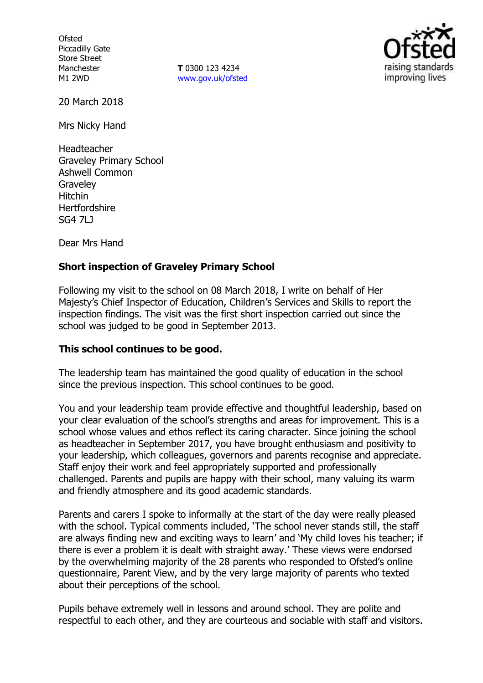**Ofsted** Piccadilly Gate Store Street Manchester M1 2WD

**T** 0300 123 4234 www.gov.uk/ofsted



20 March 2018

Mrs Nicky Hand

Headteacher Graveley Primary School Ashwell Common **Graveley** Hitchin **Hertfordshire** SG4 7LJ

Dear Mrs Hand

## **Short inspection of Graveley Primary School**

Following my visit to the school on 08 March 2018, I write on behalf of Her Majesty's Chief Inspector of Education, Children's Services and Skills to report the inspection findings. The visit was the first short inspection carried out since the school was judged to be good in September 2013.

## **This school continues to be good.**

The leadership team has maintained the good quality of education in the school since the previous inspection. This school continues to be good.

You and your leadership team provide effective and thoughtful leadership, based on your clear evaluation of the school's strengths and areas for improvement. This is a school whose values and ethos reflect its caring character. Since joining the school as headteacher in September 2017, you have brought enthusiasm and positivity to your leadership, which colleagues, governors and parents recognise and appreciate. Staff enjoy their work and feel appropriately supported and professionally challenged. Parents and pupils are happy with their school, many valuing its warm and friendly atmosphere and its good academic standards.

Parents and carers I spoke to informally at the start of the day were really pleased with the school. Typical comments included, 'The school never stands still, the staff are always finding new and exciting ways to learn' and 'My child loves his teacher; if there is ever a problem it is dealt with straight away.' These views were endorsed by the overwhelming majority of the 28 parents who responded to Ofsted's online questionnaire, Parent View, and by the very large majority of parents who texted about their perceptions of the school.

Pupils behave extremely well in lessons and around school. They are polite and respectful to each other, and they are courteous and sociable with staff and visitors.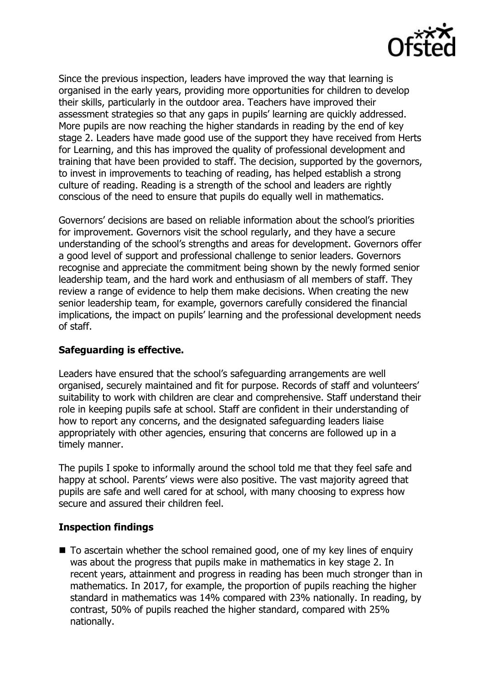

Since the previous inspection, leaders have improved the way that learning is organised in the early years, providing more opportunities for children to develop their skills, particularly in the outdoor area. Teachers have improved their assessment strategies so that any gaps in pupils' learning are quickly addressed. More pupils are now reaching the higher standards in reading by the end of key stage 2. Leaders have made good use of the support they have received from Herts for Learning, and this has improved the quality of professional development and training that have been provided to staff. The decision, supported by the governors, to invest in improvements to teaching of reading, has helped establish a strong culture of reading. Reading is a strength of the school and leaders are rightly conscious of the need to ensure that pupils do equally well in mathematics.

Governors' decisions are based on reliable information about the school's priorities for improvement. Governors visit the school regularly, and they have a secure understanding of the school's strengths and areas for development. Governors offer a good level of support and professional challenge to senior leaders. Governors recognise and appreciate the commitment being shown by the newly formed senior leadership team, and the hard work and enthusiasm of all members of staff. They review a range of evidence to help them make decisions. When creating the new senior leadership team, for example, governors carefully considered the financial implications, the impact on pupils' learning and the professional development needs of staff.

# **Safeguarding is effective.**

Leaders have ensured that the school's safeguarding arrangements are well organised, securely maintained and fit for purpose. Records of staff and volunteers' suitability to work with children are clear and comprehensive. Staff understand their role in keeping pupils safe at school. Staff are confident in their understanding of how to report any concerns, and the designated safeguarding leaders liaise appropriately with other agencies, ensuring that concerns are followed up in a timely manner.

The pupils I spoke to informally around the school told me that they feel safe and happy at school. Parents' views were also positive. The vast majority agreed that pupils are safe and well cared for at school, with many choosing to express how secure and assured their children feel.

# **Inspection findings**

■ To ascertain whether the school remained good, one of my key lines of enquiry was about the progress that pupils make in mathematics in key stage 2. In recent years, attainment and progress in reading has been much stronger than in mathematics. In 2017, for example, the proportion of pupils reaching the higher standard in mathematics was 14% compared with 23% nationally. In reading, by contrast, 50% of pupils reached the higher standard, compared with 25% nationally.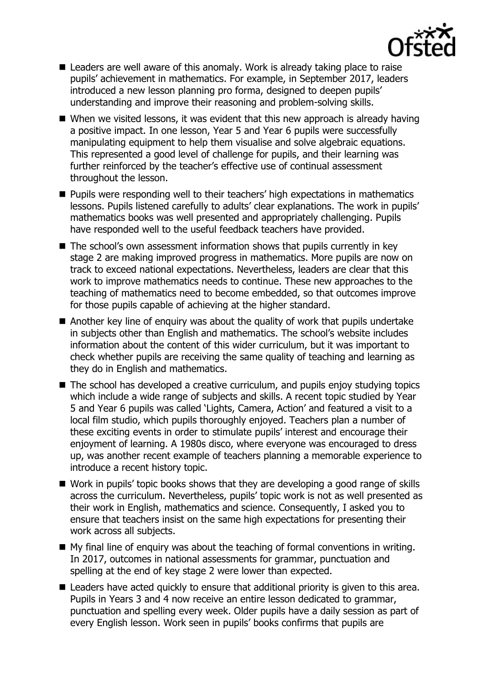

- Leaders are well aware of this anomaly. Work is already taking place to raise pupils' achievement in mathematics. For example, in September 2017, leaders introduced a new lesson planning pro forma, designed to deepen pupils' understanding and improve their reasoning and problem-solving skills.
- When we visited lessons, it was evident that this new approach is already having a positive impact. In one lesson, Year 5 and Year 6 pupils were successfully manipulating equipment to help them visualise and solve algebraic equations. This represented a good level of challenge for pupils, and their learning was further reinforced by the teacher's effective use of continual assessment throughout the lesson.
- **Pupils were responding well to their teachers' high expectations in mathematics** lessons. Pupils listened carefully to adults' clear explanations. The work in pupils' mathematics books was well presented and appropriately challenging. Pupils have responded well to the useful feedback teachers have provided.
- The school's own assessment information shows that pupils currently in key stage 2 are making improved progress in mathematics. More pupils are now on track to exceed national expectations. Nevertheless, leaders are clear that this work to improve mathematics needs to continue. These new approaches to the teaching of mathematics need to become embedded, so that outcomes improve for those pupils capable of achieving at the higher standard.
- Another key line of enquiry was about the quality of work that pupils undertake in subjects other than English and mathematics. The school's website includes information about the content of this wider curriculum, but it was important to check whether pupils are receiving the same quality of teaching and learning as they do in English and mathematics.
- The school has developed a creative curriculum, and pupils enjoy studying topics which include a wide range of subjects and skills. A recent topic studied by Year 5 and Year 6 pupils was called 'Lights, Camera, Action' and featured a visit to a local film studio, which pupils thoroughly enjoyed. Teachers plan a number of these exciting events in order to stimulate pupils' interest and encourage their enjoyment of learning. A 1980s disco, where everyone was encouraged to dress up, was another recent example of teachers planning a memorable experience to introduce a recent history topic.
- Work in pupils' topic books shows that they are developing a good range of skills across the curriculum. Nevertheless, pupils' topic work is not as well presented as their work in English, mathematics and science. Consequently, I asked you to ensure that teachers insist on the same high expectations for presenting their work across all subjects.
- $\blacksquare$  My final line of enquiry was about the teaching of formal conventions in writing. In 2017, outcomes in national assessments for grammar, punctuation and spelling at the end of key stage 2 were lower than expected.
- Leaders have acted quickly to ensure that additional priority is given to this area. Pupils in Years 3 and 4 now receive an entire lesson dedicated to grammar, punctuation and spelling every week. Older pupils have a daily session as part of every English lesson. Work seen in pupils' books confirms that pupils are